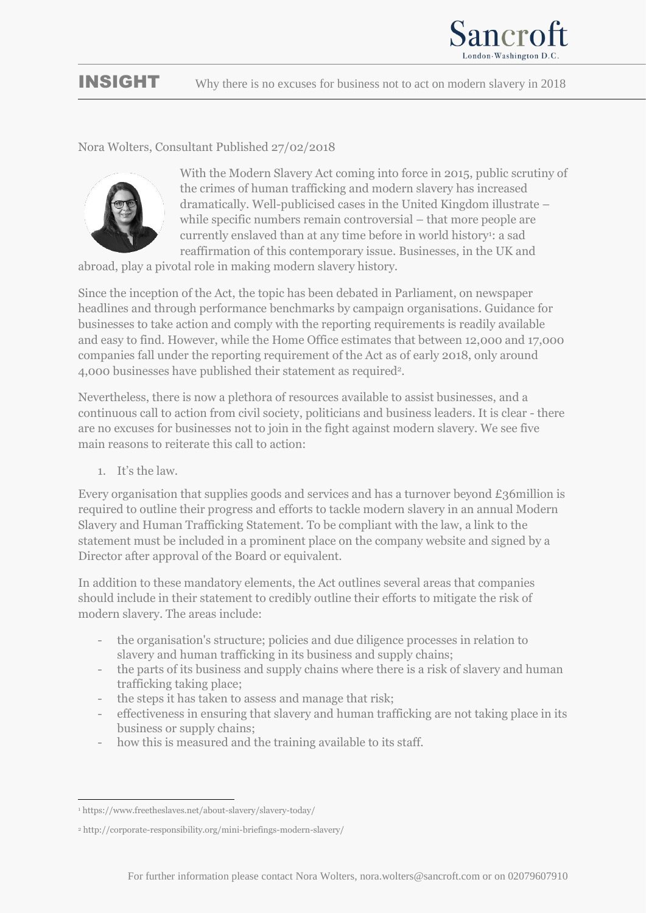

## INSIGHT Why there is no excuses for business not to act on modern slavery in 2018

## Nora Wolters, Consultant Published 27/02/2018



With the Modern Slavery Act coming into force in 2015, public scrutiny of the crimes of human trafficking and modern slavery has increased dramatically. Well-publicised cases in the United Kingdom illustrate – while specific numbers remain controversial – that more people are currently enslaved than at any time before in world history<sup>1</sup>: a sad reaffirmation of this contemporary issue. Businesses, in the UK and

abroad, play a pivotal role in making modern slavery history.

Since the inception of the Act, the topic has been debated in Parliament, on newspaper headlines and through performance benchmarks by campaign organisations. Guidance for businesses to take action and comply with the reporting requirements is readily available and easy to find. However, while the Home Office estimates that between 12,000 and 17,000 companies fall under the reporting requirement of the Act as of early 2018, only around 4,000 businesses have published their statement as required<sup>2</sup>.

Nevertheless, there is now a plethora of resources available to assist businesses, and a continuous call to action from civil society, politicians and business leaders. It is clear - there are no excuses for businesses not to join in the fight against modern slavery. We see five main reasons to reiterate this call to action:

1. It's the law.

Every organisation that supplies goods and services and has a turnover beyond £36million is required to outline their progress and efforts to tackle modern slavery in an annual Modern Slavery and Human Trafficking Statement. To be compliant with the law, a link to the statement must be included in a prominent place on the company website and signed by a Director after approval of the Board or equivalent.

In addition to these mandatory elements, the Act outlines several areas that companies should include in their statement to credibly outline their efforts to mitigate the risk of modern slavery. The areas include:

- the organisation's structure; policies and due diligence processes in relation to slavery and human trafficking in its business and supply chains;
- the parts of its business and supply chains where there is a risk of slavery and human trafficking taking place;
- the steps it has taken to assess and manage that risk;
- effectiveness in ensuring that slavery and human trafficking are not taking place in its business or supply chains;
- how this is measured and the training available to its staff.

<sup>&</sup>lt;u>.</u> <sup>1</sup> https://www.freetheslaves.net/about-slavery/slavery-today/

<sup>2</sup> http://corporate-responsibility.org/mini-briefings-modern-slavery/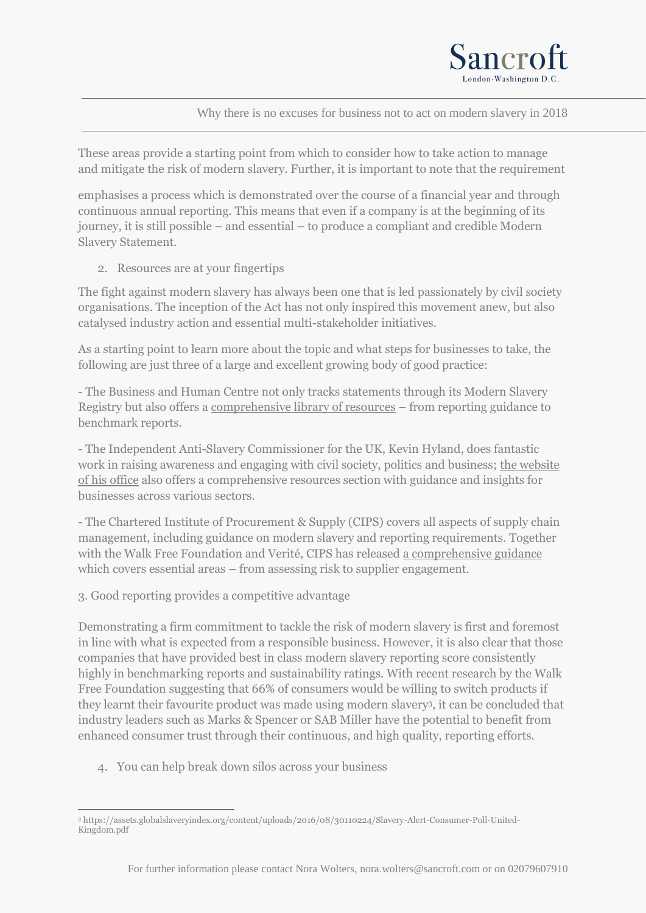

Why there is no excuses for business not to act on modern slavery in 2018

These areas provide a starting point from which to consider how to take action to manage and mitigate the risk of modern slavery. Further, it is important to note that the requirement

emphasises a process which is demonstrated over the course of a financial year and through continuous annual reporting. This means that even if a company is at the beginning of its journey, it is still possible – and essential – to produce a compliant and credible Modern Slavery Statement.

2. Resources are at your fingertips

The fight against modern slavery has always been one that is led passionately by civil society organisations. The inception of the Act has not only inspired this movement anew, but also catalysed industry action and essential multi-stakeholder initiatives.

As a starting point to learn more about the topic and what steps for businesses to take, the following are just three of a large and excellent growing body of good practice:

- The Business and Human Centre not only tracks statements through its Modern Slavery Registry but also offers a [comprehensive library of resources](https://www.modernslaveryregistry.org/pages/reporting_guidance) – from reporting guidance to benchmark reports.

- The Independent Anti-Slavery Commissioner for the UK, Kevin Hyland, does fantastic work in raising awareness and engaging with civil society, politics and business; [the website](http://www.antislaverycommissioner.co.uk/resources/)  [of his office](http://www.antislaverycommissioner.co.uk/resources/) also offers a comprehensive resources section with guidance and insights for businesses across various sectors.

- The Chartered Institute of Procurement & Supply (CIPS) covers all aspects of supply chain management, including guidance on modern slavery and reporting requirements. Together with the Walk Free Foundation and Verité, CIPS has released [a comprehensive guidance](https://www.cips.org/Documents/Knowledge/Procurement-Topics-and-Skills/4-Sustainability-CSR-Ethics/Sustainable-and-Ethical-Procurement/tackling-modern-slavery-in-modern-supply-chains.pdf) which covers essential areas – from assessing risk to supplier engagement.

3. Good reporting provides a competitive advantage

Demonstrating a firm commitment to tackle the risk of modern slavery is first and foremost in line with what is expected from a responsible business. However, it is also clear that those companies that have provided best in class modern slavery reporting score consistently highly in benchmarking reports and sustainability ratings. With recent research by the Walk Free Foundation suggesting that 66% of consumers would be willing to switch products if they learnt their favourite product was made using modern slavery<sup>3</sup> , it can be concluded that industry leaders such as Marks & Spencer or SAB Miller have the potential to benefit from enhanced consumer trust through their continuous, and high quality, reporting efforts.

4. You can help break down silos across your business

<sup>&</sup>lt;u>.</u> <sup>3</sup> https://assets.globalslaveryindex.org/content/uploads/2016/08/30110224/Slavery-Alert-Consumer-Poll-United-Kingdom.pdf